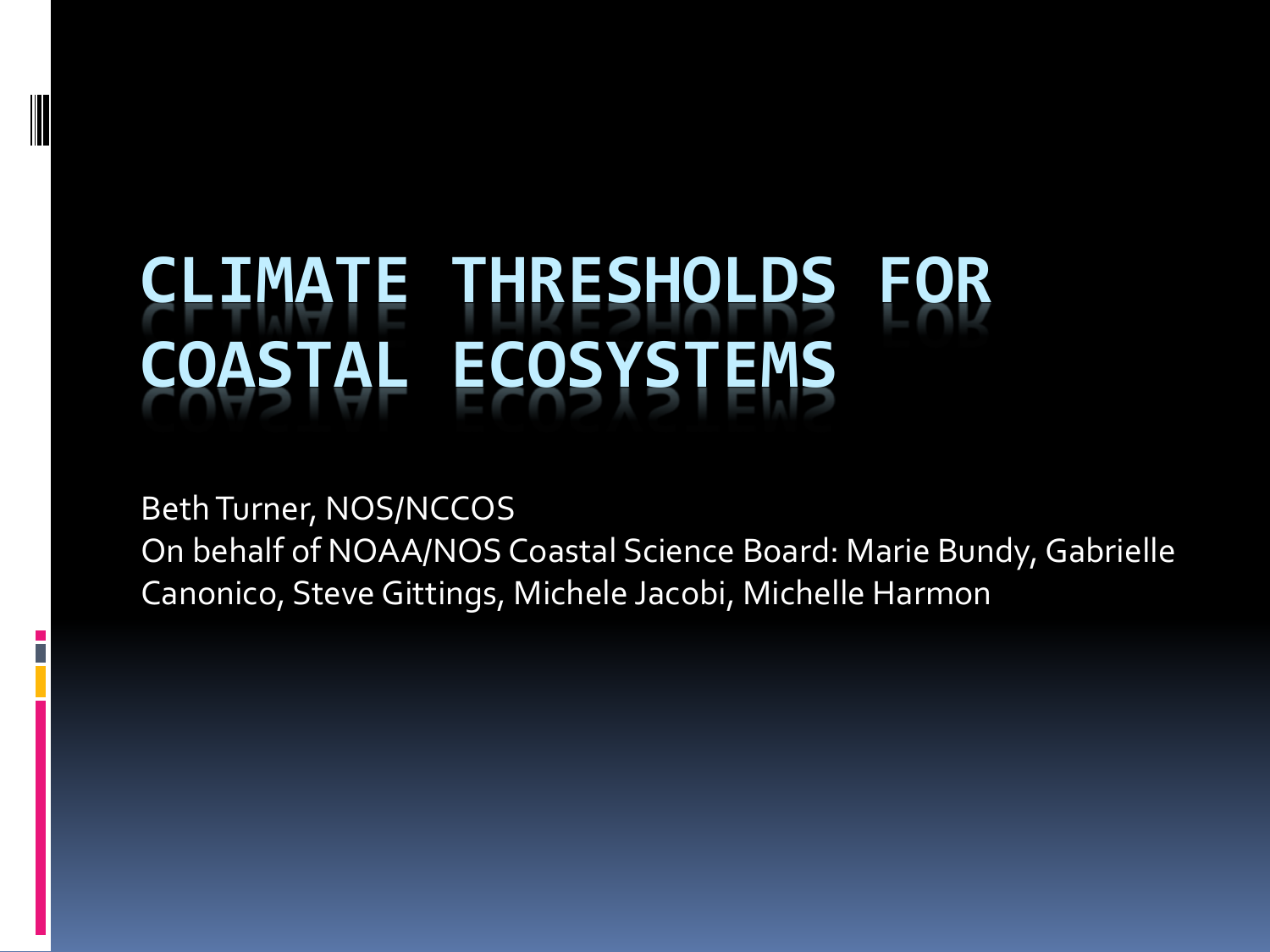# **CLIMATE THRESHOLDS FOR COASTAL ECOSYSTEMS**

Beth Turner, NOS/NCCOS On behalf of NOAA/NOS Coastal Science Board: Marie Bundy, Gabrielle Canonico, Steve Gittings, Michele Jacobi, Michelle Harmon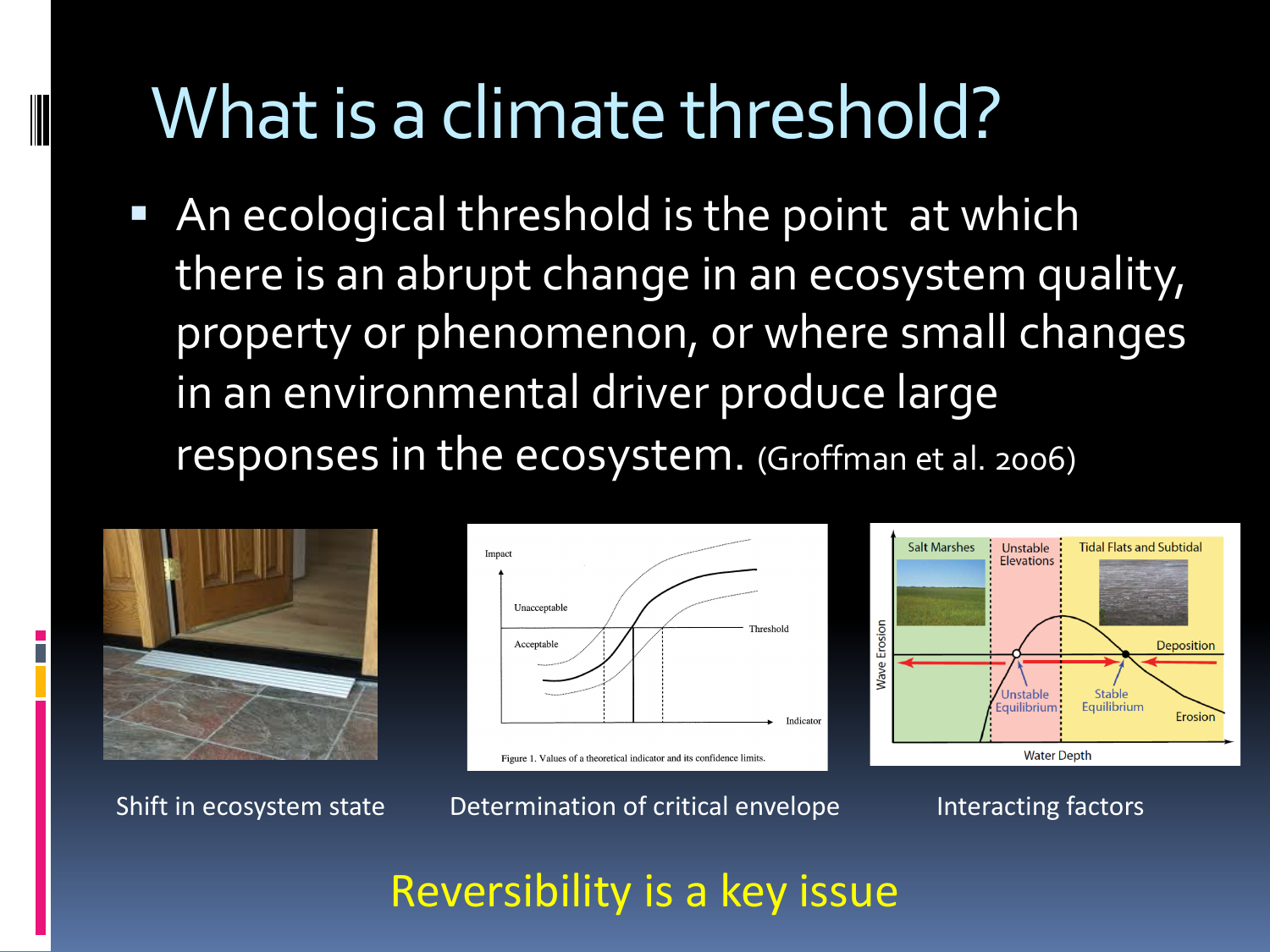#### What is a climate threshold?

An ecological threshold is the point at which there is an abrupt change in an ecosystem quality, property or phenomenon, or where small changes in an environmental driver produce large responses in the ecosystem. (Groffman et al. 2006)









**Water Depth** 

Unstable

**Elevations** 

Unstable

Equilibrium

**Tidal Elats and Subtidal** 

**Stable** 

Equilibrium

**Deposition** 

**Erosion** 

**Salt Marshes** 

Erosion

#### Reversibility is a key issue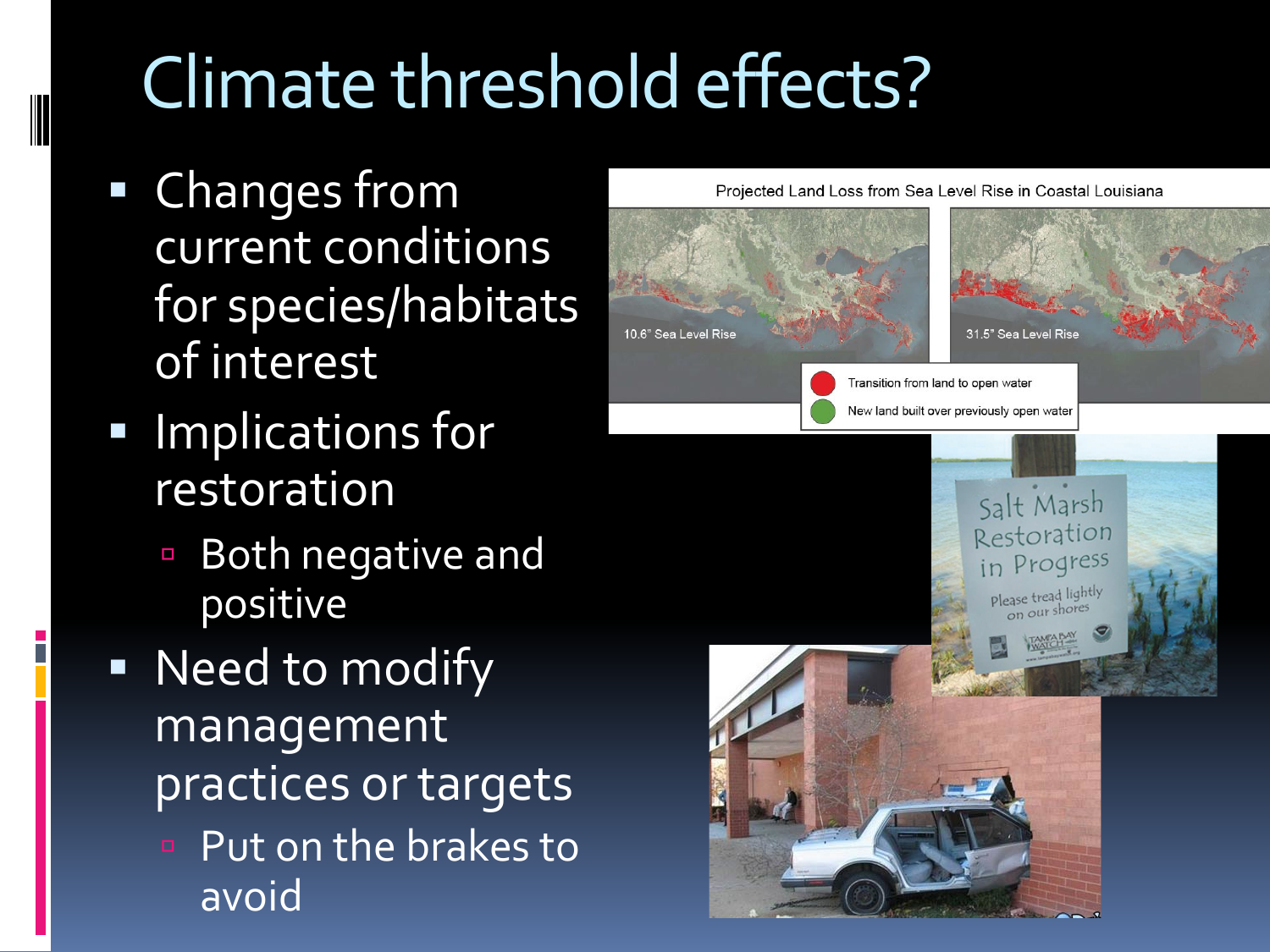## Climate threshold effects?

- § Changes from current conditions for species/habitats of interest
- **•** Implications for restoration
	- **E** Both negative and positive
- Need to modify management practices or targets
	- ú Put on the brakes to avoid



Projected Land Loss from Sea Level Rise in Coastal Louisiana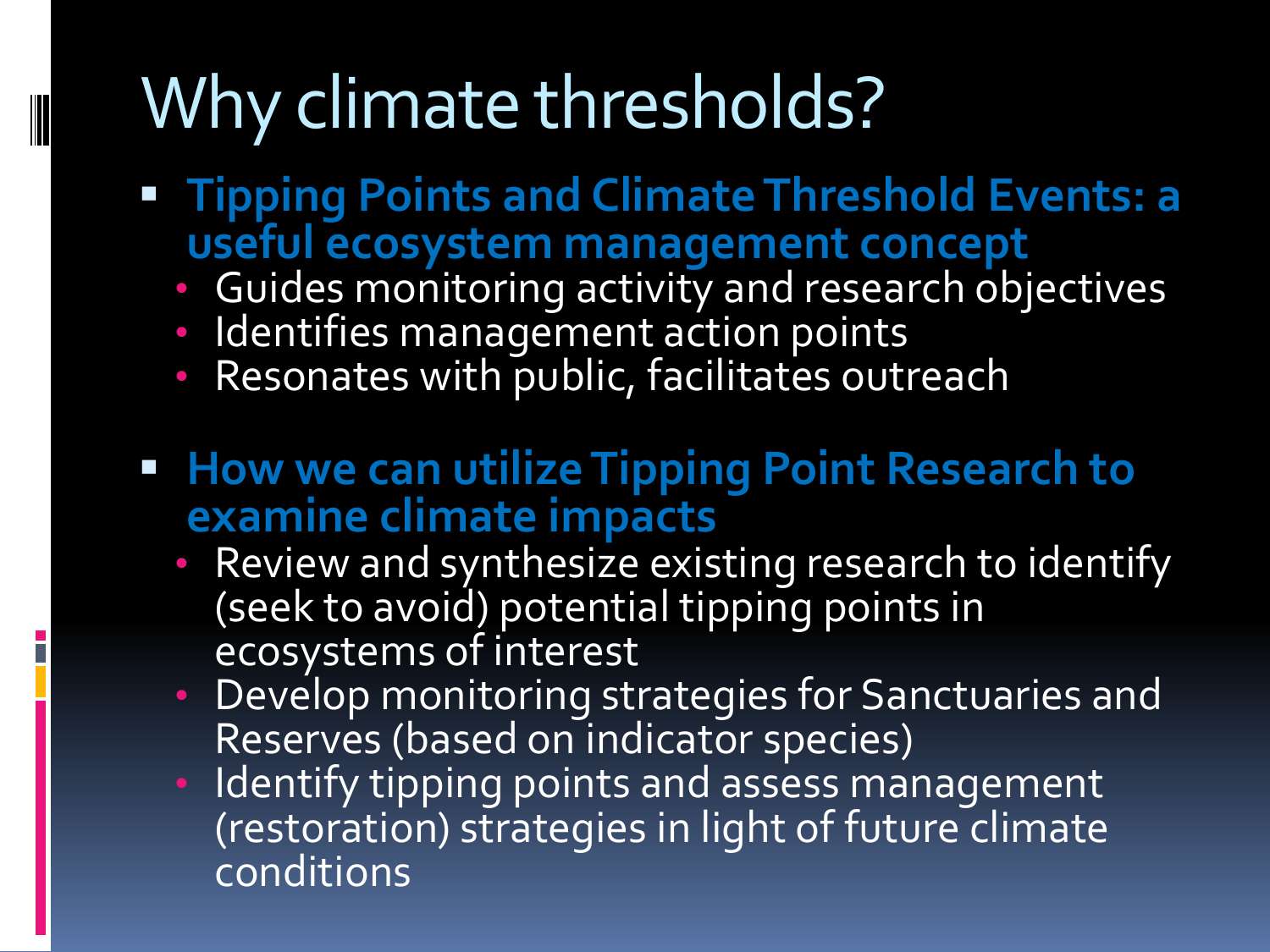## Why climate thresholds?

- § **Tipping Points and Climate Threshold Events: a useful ecosystem management concept**
	- Guides monitoring activity and research objectives
	- Identifies management action points
	- Resonates with public, facilitates outreach
- § **How we can utilize Tipping Point Research to examine climate impacts**
	- Review and synthesize existing research to identify (seek to avoid) potential tipping points in ecosystems of interest
	- Develop monitoring strategies for Sanctuaries and Reserves (based on indicator species)
	- Identify tipping points and assess management (restoration) strategies in light of future climate conditions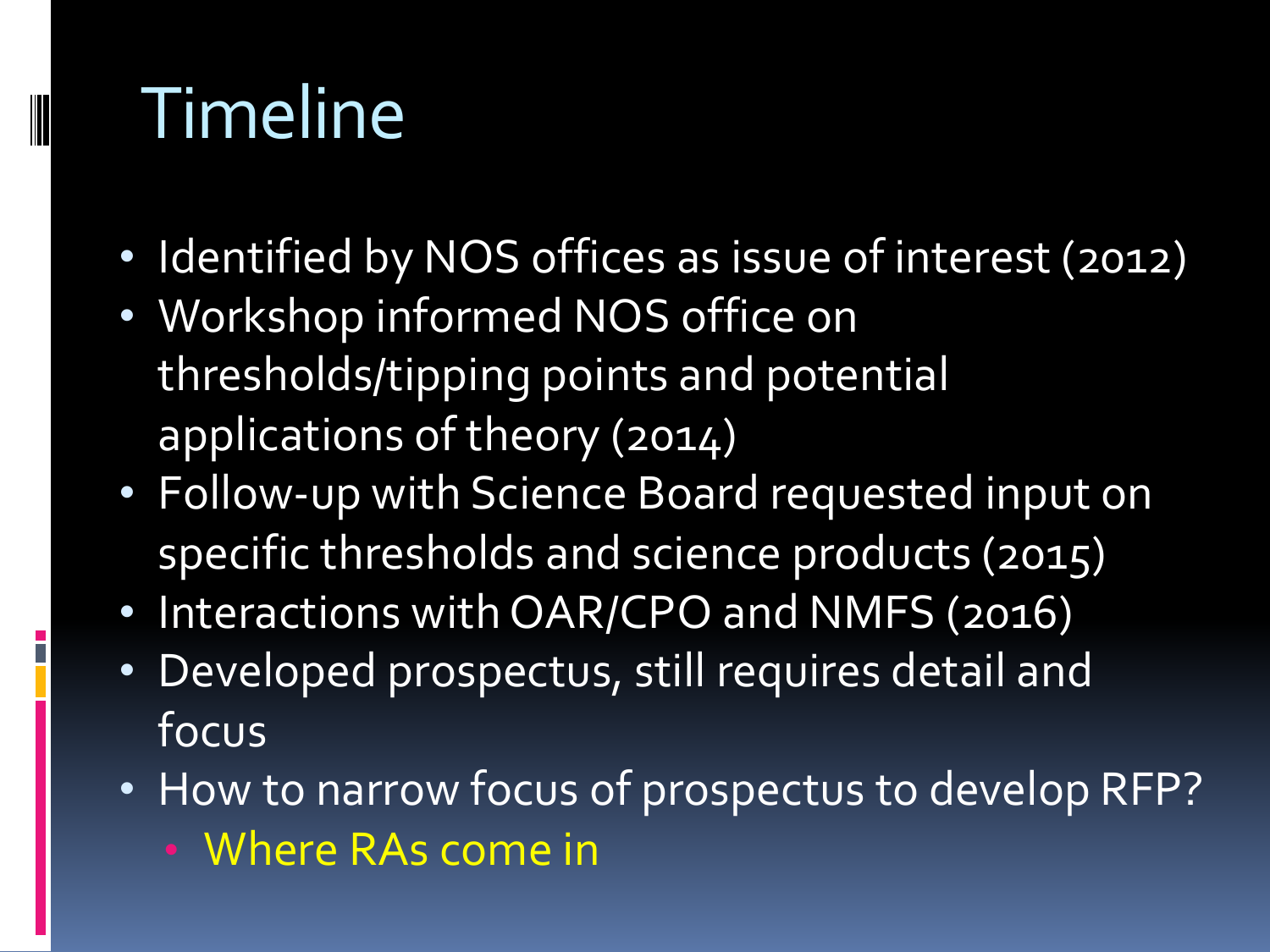### Timeline

- Identified by NOS offices as issue of interest (2012)
- Workshop informed NOS office on thresholds/tipping points and potential applications of theory (2014)
- Follow-up with Science Board requested input on specific thresholds and science products (2015)
- Interactions with OAR/CPO and NMFS (2016)
- Developed prospectus, still requires detail and focus
- How to narrow focus of prospectus to develop RFP?
	- Where RAs come in